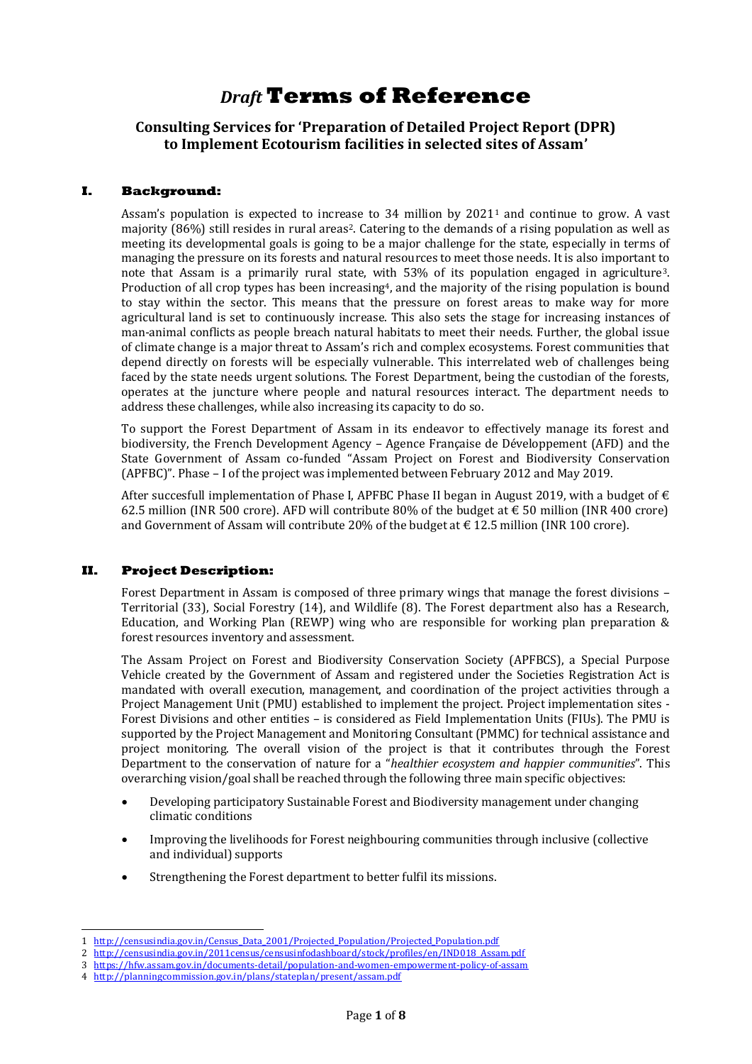# *Draft* **Terms of Reference**

**Consulting Services for 'Preparation of Detailed Project Report (DPR) to Implement Ecotourism facilities in selected sites of Assam'**

## **I. Background:**

Assam's population is expected to increase to  $34$  million by  $2021<sup>1</sup>$  and continue to grow. A vast majority (86%) still resides in rural areas<sup>2</sup>. Catering to the demands of a rising population as well as meeting its developmental goals is going to be a major challenge for the state, especially in terms of managing the pressure on its forests and natural resources to meet those needs. It is also important to note that Assam is a primarily rural state, with 53% of its population engaged in agriculture3. Production of all crop types has been increasing<sup>4</sup>, and the majority of the rising population is bound to stay within the sector. This means that the pressure on forest areas to make way for more agricultural land is set to continuously increase. This also sets the stage for increasing instances of man-animal conflicts as people breach natural habitats to meet their needs. Further, the global issue of climate change is a major threat to Assam's rich and complex ecosystems. Forest communities that depend directly on forests will be especially vulnerable. This interrelated web of challenges being faced by the state needs urgent solutions. The Forest Department, being the custodian of the forests, operates at the juncture where people and natural resources interact. The department needs to address these challenges, while also increasing its capacity to do so.

To support the Forest Department of Assam in its endeavor to effectively manage its forest and biodiversity, the French Development Agency – Agence Française de Développement (AFD) and the State Government of Assam co-funded "Assam Project on Forest and Biodiversity Conservation (APFBC)". Phase – I of the project was implemented between February 2012 and May 2019.

After succesfull implementation of Phase I, APFBC Phase II began in August 2019, with a budget of  $\epsilon$ 62.5 million (INR 500 crore). AFD will contribute 80% of the budget at  $\epsilon$  50 million (INR 400 crore) and Government of Assam will contribute 20% of the budget at  $\epsilon$  12.5 million (INR 100 crore).

## **II. Project Description:**

-

Forest Department in Assam is composed of three primary wings that manage the forest divisions – Territorial (33), Social Forestry (14), and Wildlife (8). The Forest department also has a Research, Education, and Working Plan (REWP) wing who are responsible for working plan preparation & forest resources inventory and assessment.

The Assam Project on Forest and Biodiversity Conservation Society (APFBCS), a Special Purpose Vehicle created by the Government of Assam and registered under the Societies Registration Act is mandated with overall execution, management, and coordination of the project activities through a Project Management Unit (PMU) established to implement the project. Project implementation sites - Forest Divisions and other entities – is considered as Field Implementation Units (FIUs). The PMU is supported by the Project Management and Monitoring Consultant (PMMC) for technical assistance and project monitoring. The overall vision of the project is that it contributes through the Forest Department to the conservation of nature for a "*healthier ecosystem and happier communities*". This overarching vision/goal shall be reached through the following three main specific objectives:

- Developing participatory Sustainable Forest and Biodiversity management under changing climatic conditions
- Improving the livelihoods for Forest neighbouring communities through inclusive (collective and individual) supports
- Strengthening the Forest department to better fulfil its missions.

<sup>1</sup> http://censusindia.gov.in/Census Data 2001/Projected Population/Projected Population.pdf

<sup>2</sup> http://censusindia.gov.in/2011census/censusinfodashboard/stock/profiles/en/IND018 Assam.pdf

<sup>3</sup> <https://hfw.assam.gov.in/documents-detail/population-and-women-empowerment-policy-of-assam>

<sup>4</sup> <http://planningcommission.gov.in/plans/stateplan/present/assam.pdf>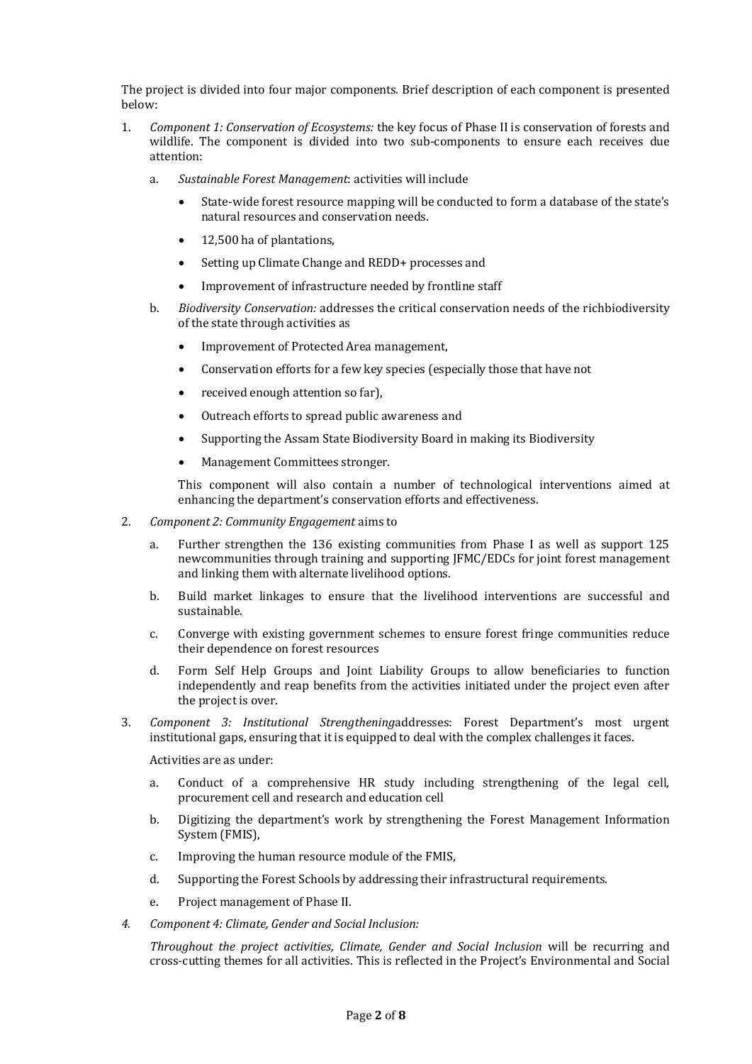The project is divided into four major components. Brief description of each component is presented below:

- 1. *Component 1: Conservation of Ecosystems:* the key focus of Phase II is conservation of forests and wildlife. The component is divided into two sub-components to ensure each receives due attention:
	- a. *Sustainable Forest Management*: activities will include
		- State-wide forest resource mapping will be conducted to form a database of the state's natural resources and conservation needs.
		- 12,500 ha of plantations,
		- Setting up Climate Change and REDD+ processes and
		- Improvement of infrastructure needed by frontline staff
	- b. *Biodiversity Conservation:* addresses the critical conservation needs of the richbiodiversity of the state through activities as
		- Improvement of Protected Area management,
		- Conservation efforts for a few key species (especially those that have not
		- received enough attention so far),
		- Outreach efforts to spread public awareness and
		- Supporting the Assam State Biodiversity Board in making its Biodiversity
		- Management Committees stronger.

This component will also contain a number of technological interventions aimed at enhancing the department's conservation efforts and effectiveness.

- 2. *Component 2: Community Engagement* aims to
	- a. Further strengthen the 136 existing communities from Phase I as well as support 125 newcommunities through training and supporting JFMC/EDCs for joint forest management and linking them with alternate livelihood options.
	- b. Build market linkages to ensure that the livelihood interventions are successful and sustainable.
	- c. Converge with existing government schemes to ensure forest fringe communities reduce their dependence on forest resources
	- d. Form Self Help Groups and Joint Liability Groups to allow beneficiaries to function independently and reap benefits from the activities initiated under the project even after the project is over.
- 3. *Component 3: Institutional Strengthening*addresses: Forest Department's most urgent institutional gaps, ensuring that it is equipped to deal with the complex challenges it faces.

Activities are as under:

- a. Conduct of a comprehensive HR study including strengthening of the legal cell, procurement cell and research and education cell
- b. Digitizing the department's work by strengthening the Forest Management Information System (FMIS),
- c. Improving the human resource module of the FMIS,
- d. Supporting the Forest Schools by addressing their infrastructural requirements.
- e. Project management of Phase II.
- *4. Component 4: Climate, Gender and Social Inclusion:*

*Throughout the project activities, Climate, Gender and Social Inclusion* will be recurring and cross-cutting themes for all activities. This is reflected in the Project's Environmental and Social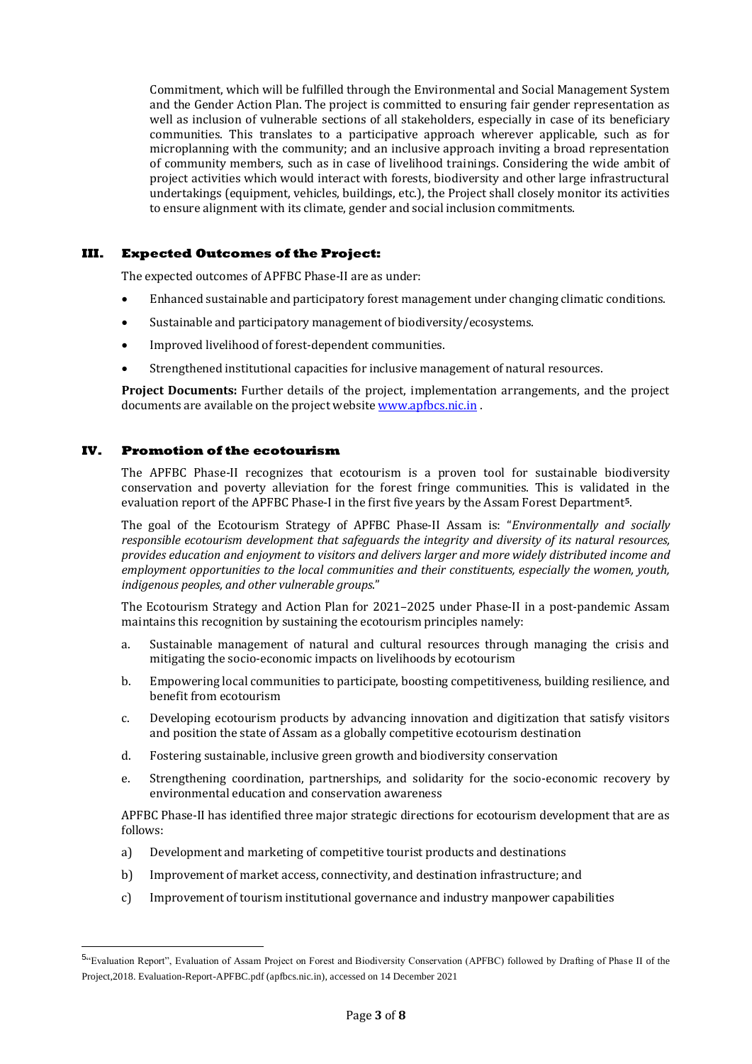Commitment, which will be fulfilled through the Environmental and Social Management System and the Gender Action Plan. The project is committed to ensuring fair gender representation as well as inclusion of vulnerable sections of all stakeholders, especially in case of its beneficiary communities. This translates to a participative approach wherever applicable, such as for microplanning with the community; and an inclusive approach inviting a broad representation of community members, such as in case of livelihood trainings. Considering the wide ambit of project activities which would interact with forests, biodiversity and other large infrastructural undertakings (equipment, vehicles, buildings, etc.), the Project shall closely monitor its activities to ensure alignment with its climate, gender and social inclusion commitments.

## **III. Expected Outcomes of the Project:**

The expected outcomes of APFBC Phase-II are as under:

- Enhanced sustainable and participatory forest management under changing climatic conditions.
- Sustainable and participatory management of biodiversity/ecosystems.
- Improved livelihood of forest-dependent communities.
- Strengthened institutional capacities for inclusive management of natural resources.

**Project Documents:** Further details of the project, implementation arrangements, and the project documents are available on the project websit[e www.apfbcs.nic.in](http://www.apfbcs.nic.in/).

## **IV. Promotion of the ecotourism**

-

The APFBC Phase-II recognizes that ecotourism is a proven tool for sustainable biodiversity conservation and poverty alleviation for the forest fringe communities. This is validated in the evaluation report of the APFBC Phase-I in the first five years by the Assam Forest Department**5**.

The goal of the Ecotourism Strategy of APFBC Phase-II Assam is: "*Environmentally and socially responsible ecotourism development that safeguards the integrity and diversity of its natural resources, provides education and enjoyment to visitors and delivers larger and more widely distributed income and employment opportunities to the local communities and their constituents, especially the women, youth, indigenous peoples, and other vulnerable groups*."

The Ecotourism Strategy and Action Plan for 2021–2025 under Phase-II in a post-pandemic Assam maintains this recognition by sustaining the ecotourism principles namely:

- a. Sustainable management of natural and cultural resources through managing the crisis and mitigating the socio-economic impacts on livelihoods by ecotourism
- b. Empowering local communities to participate, boosting competitiveness, building resilience, and benefit from ecotourism
- c. Developing ecotourism products by advancing innovation and digitization that satisfy visitors and position the state of Assam as a globally competitive ecotourism destination
- d. Fostering sustainable, inclusive green growth and biodiversity conservation
- e. Strengthening coordination, partnerships, and solidarity for the socio-economic recovery by environmental education and conservation awareness

APFBC Phase-II has identified three major strategic directions for ecotourism development that are as follows:

- a) Development and marketing of competitive tourist products and destinations
- b) Improvement of market access, connectivity, and destination infrastructure; and
- c) Improvement of tourism institutional governance and industry manpower capabilities

<sup>5.</sup> Evaluation Report", Evaluation of Assam Project on Forest and Biodiversity Conservation (APFBC) followed by Drafting of Phase II of the Project,2018[. Evaluation-Report-APFBC.pdf \(apfbcs.nic.in\),](http://apfbcs.nic.in/phase-ii%20documents/Evaluation-Report-APFBC.pdf) accessed on 14 December 2021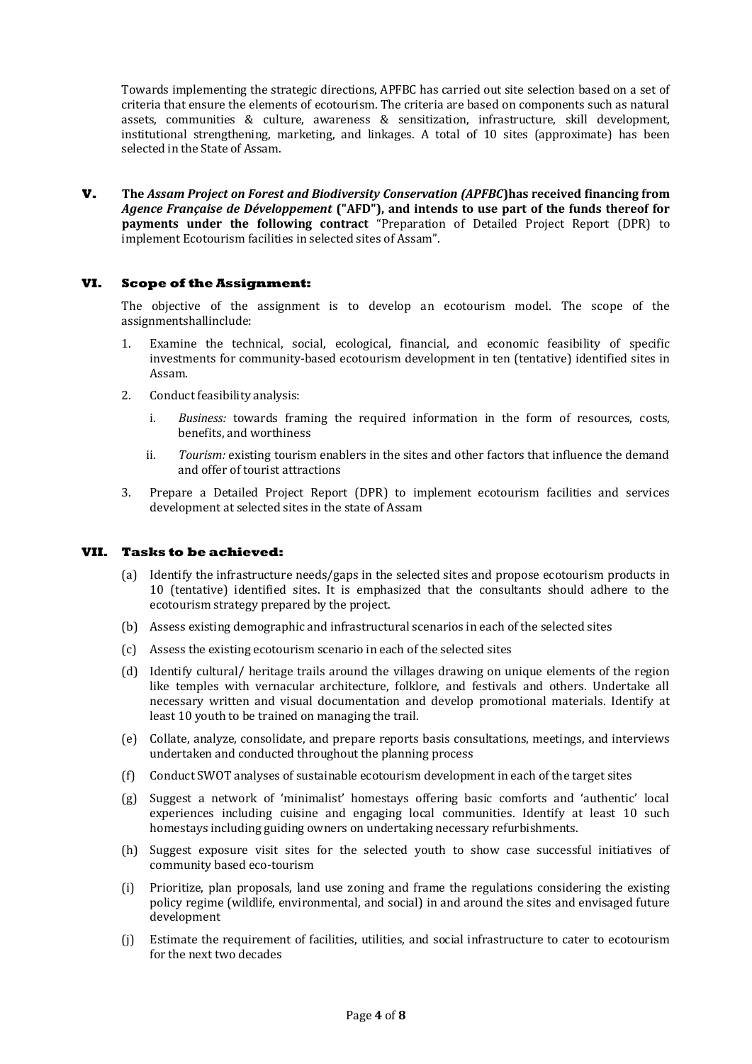Towards implementing the strategic directions, APFBC has carried out site selection based on a set of criteria that ensure the elements of ecotourism. The criteria are based on components such as natural assets, communities & culture, awareness & sensitization, infrastructure, skill development, institutional strengthening, marketing, and linkages. A total of 10 sites (approximate) has been selected in the State of Assam.

**V. The** *Assam Project on Forest and Biodiversity Conservation (APFBC***)has received financing from**  *Agence Française de Développement* **("AFD"), and intends to use part of the funds thereof for payments under the following contract** "Preparation of Detailed Project Report (DPR) to implement Ecotourism facilities in selected sites of Assam".

## **VI. Scope of the Assignment:**

The objective of the assignment is to develop an ecotourism model. The scope of the assignmentshallinclude:

- 1. Examine the technical, social, ecological, financial, and economic feasibility of specific investments for community-based ecotourism development in ten (tentative) identified sites in Assam.
- 2. Conduct feasibility analysis:
	- i. *Business:* towards framing the required information in the form of resources, costs, benefits, and worthiness
	- ii. *Tourism:* existing tourism enablers in the sites and other factors that influence the demand and offer of tourist attractions
- 3. Prepare a Detailed Project Report (DPR) to implement ecotourism facilities and services development at selected sites in the state of Assam

### **VII. Tasks to be achieved:**

- (a) Identify the infrastructure needs/gaps in the selected sites and propose ecotourism products in 10 (tentative) identified sites. It is emphasized that the consultants should adhere to the ecotourism strategy prepared by the project.
- (b) Assess existing demographic and infrastructural scenarios in each of the selected sites
- (c) Assess the existing ecotourism scenario in each of the selected sites
- (d) Identify cultural/ heritage trails around the villages drawing on unique elements of the region like temples with vernacular architecture, folklore, and festivals and others. Undertake all necessary written and visual documentation and develop promotional materials. Identify at least 10 youth to be trained on managing the trail.
- (e) Collate, analyze, consolidate, and prepare reports basis consultations, meetings, and interviews undertaken and conducted throughout the planning process
- (f) Conduct SWOT analyses of sustainable ecotourism development in each of the target sites
- (g) Suggest a network of 'minimalist' homestays offering basic comforts and 'authentic' local experiences including cuisine and engaging local communities. Identify at least 10 such homestays including guiding owners on undertaking necessary refurbishments.
- (h) Suggest exposure visit sites for the selected youth to show case successful initiatives of community based eco-tourism
- (i) Prioritize, plan proposals, land use zoning and frame the regulations considering the existing policy regime (wildlife, environmental, and social) in and around the sites and envisaged future development
- (j) Estimate the requirement of facilities, utilities, and social infrastructure to cater to ecotourism for the next two decades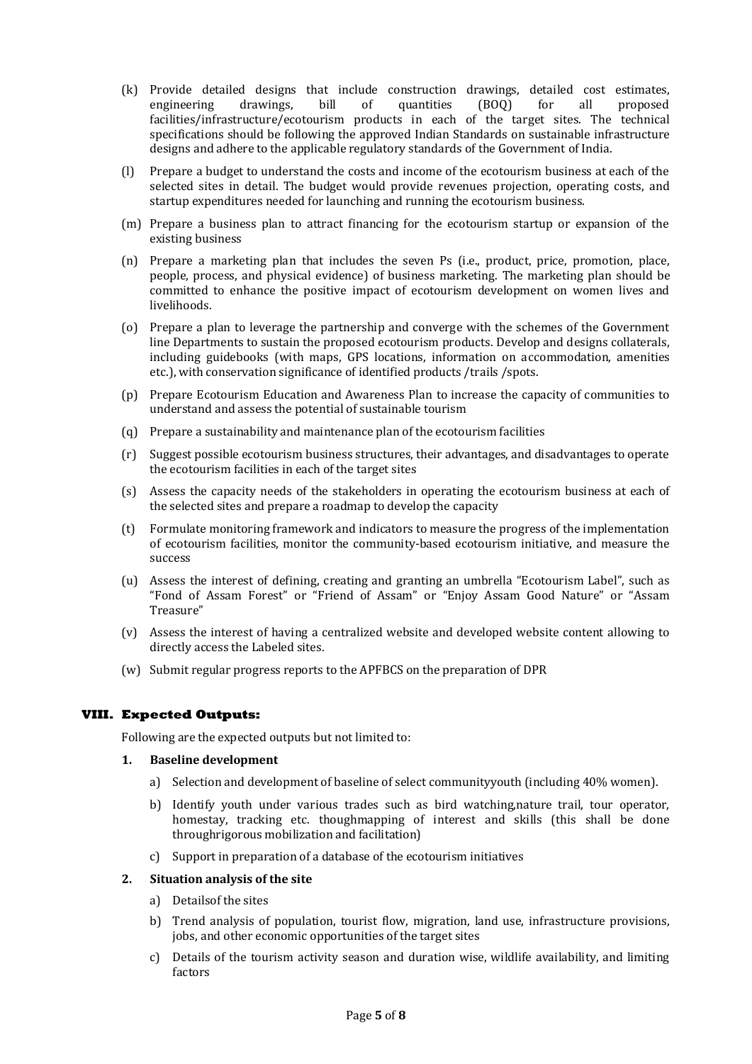- (k) Provide detailed designs that include construction drawings, detailed cost estimates, engineering drawings, bill of quantities (BOQ) for all proposed facilities/infrastructure/ecotourism products in each of the target sites. The technical specifications should be following the approved Indian Standards on sustainable infrastructure designs and adhere to the applicable regulatory standards of the Government of India.
- (l) Prepare a budget to understand the costs and income of the ecotourism business at each of the selected sites in detail. The budget would provide revenues projection, operating costs, and startup expenditures needed for launching and running the ecotourism business.
- (m) Prepare a business plan to attract financing for the ecotourism startup or expansion of the existing business
- (n) Prepare a marketing plan that includes the seven Ps (i.e., product, price, promotion, place, people, process, and physical evidence) of business marketing. The marketing plan should be committed to enhance the positive impact of ecotourism development on women lives and livelihoods.
- (o) Prepare a plan to leverage the partnership and converge with the schemes of the Government line Departments to sustain the proposed ecotourism products. Develop and designs collaterals, including guidebooks (with maps, GPS locations, information on accommodation, amenities etc.), with conservation significance of identified products /trails /spots.
- (p) Prepare Ecotourism Education and Awareness Plan to increase the capacity of communities to understand and assess the potential of sustainable tourism
- (q) Prepare a sustainability and maintenance plan of the ecotourism facilities
- (r) Suggest possible ecotourism business structures, their advantages, and disadvantages to operate the ecotourism facilities in each of the target sites
- (s) Assess the capacity needs of the stakeholders in operating the ecotourism business at each of the selected sites and prepare a roadmap to develop the capacity
- (t) Formulate monitoring framework and indicators to measure the progress of the implementation of ecotourism facilities, monitor the community-based ecotourism initiative, and measure the success
- (u) Assess the interest of defining, creating and granting an umbrella "Ecotourism Label", such as "Fond of Assam Forest" or "Friend of Assam" or "Enjoy Assam Good Nature" or "Assam Treasure"
- (v) Assess the interest of having a centralized website and developed website content allowing to directly access the Labeled sites.
- (w) Submit regular progress reports to the APFBCS on the preparation of DPR

## **VIII. Expected Outputs:**

Following are the expected outputs but not limited to:

### **1. Baseline development**

- a) Selection and development of baseline of select communityyouth (including 40% women).
- b) Identify youth under various trades such as bird watching,nature trail, tour operator, homestay, tracking etc. thoughmapping of interest and skills (this shall be done throughrigorous mobilization and facilitation)
- c) Support in preparation of a database of the ecotourism initiatives

### **2. Situation analysis of the site**

- a) Detailsof the sites
- b) Trend analysis of population, tourist flow, migration, land use, infrastructure provisions, jobs, and other economic opportunities of the target sites
- c) Details of the tourism activity season and duration wise, wildlife availability, and limiting factors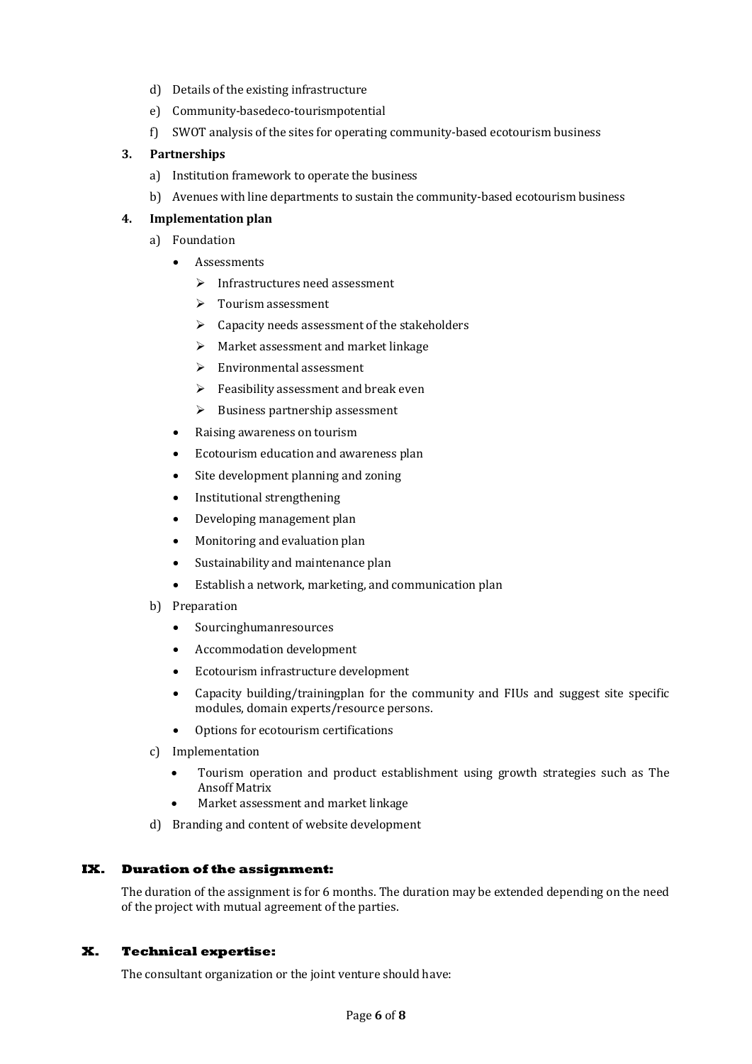- d) Details of the existing infrastructure
- e) Community-basedeco-tourismpotential
- f) SWOT analysis of the sites for operating community-based ecotourism business

## **3. Partnerships**

- a) Institution framework to operate the business
- b) Avenues with line departments to sustain the community-based ecotourism business

## **4. Implementation plan**

- a) Foundation
	- Assessments
		- $\triangleright$  Infrastructures need assessment
		- > Tourism assessment
		- $\triangleright$  Capacity needs assessment of the stakeholders
		- $\triangleright$  Market assessment and market linkage
		- Environmental assessment
		- $\triangleright$  Feasibility assessment and break even
		- $\triangleright$  Business partnership assessment
	- Raising awareness on tourism
	- Ecotourism education and awareness plan
	- Site development planning and zoning
	- Institutional strengthening
	- Developing management plan
	- Monitoring and evaluation plan
	- Sustainability and maintenance plan
	- Establish a network, marketing, and communication plan
- b) Preparation
	- Sourcinghumanresources
	- Accommodation development
	- Ecotourism infrastructure development
	- Capacity building/trainingplan for the community and FIUs and suggest site specific modules, domain experts/resource persons.
	- Options for ecotourism certifications
- c) Implementation
	- Tourism operation and product establishment using growth strategies such as The Ansoff Matrix
	- Market assessment and market linkage
- d) Branding and content of website development

## **IX. Duration of the assignment:**

The duration of the assignment is for 6 months. The duration may be extended depending on the need of the project with mutual agreement of the parties.

## **X. Technical expertise:**

The consultant organization or the joint venture should have: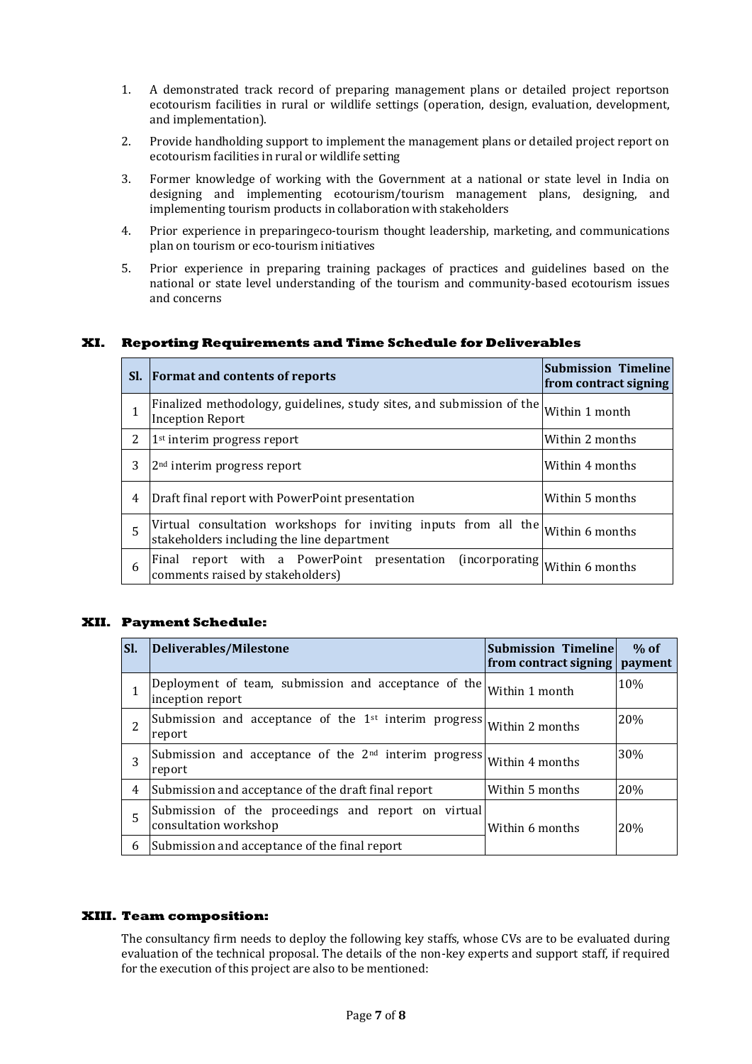- 1. A demonstrated track record of preparing management plans or detailed project reportson ecotourism facilities in rural or wildlife settings (operation, design, evaluation, development, and implementation).
- 2. Provide handholding support to implement the management plans or detailed project report on ecotourism facilities in rural or wildlife setting
- 3. Former knowledge of working with the Government at a national or state level in India on designing and implementing ecotourism/tourism management plans, designing, and implementing tourism products in collaboration with stakeholders
- 4. Prior experience in preparingeco-tourism thought leadership, marketing, and communications plan on tourism or eco-tourism initiatives
- 5. Prior experience in preparing training packages of practices and guidelines based on the national or state level understanding of the tourism and community-based ecotourism issues and concerns

### **XI. Reporting Requirements and Time Schedule for Deliverables**

| SI. | <b>Format and contents of reports</b>                                                                         | <b>Submission Timeline</b><br>from contract signing |
|-----|---------------------------------------------------------------------------------------------------------------|-----------------------------------------------------|
|     | Finalized methodology, guidelines, study sites, and submission of the<br><b>Inception Report</b>              | Within 1 month                                      |
| 2   | 1 <sup>st</sup> interim progress report                                                                       | Within 2 months                                     |
| 3   | 2 <sup>nd</sup> interim progress report                                                                       | Within 4 months                                     |
| 4   | Draft final report with PowerPoint presentation                                                               | Within 5 months                                     |
| 5   | Virtual consultation workshops for inviting inputs from all the<br>stakeholders including the line department | Within 6 months                                     |
| 6   | report with a PowerPoint presentation<br>(incorporating)<br>Final<br>comments raised by stakeholders)         | Within 6 months                                     |

### **XII. Payment Schedule:**

| ISI. | Deliverables/Milestone                                                               | <b>Submission Timeline</b><br>from contract signing   payment | $%$ of     |
|------|--------------------------------------------------------------------------------------|---------------------------------------------------------------|------------|
|      | Deployment of team, submission and acceptance of the<br>inception report             | Within 1 month                                                | 10%        |
| 2    | Submission and acceptance of the $1^{st}$ interim progress Within 2 months<br>report |                                                               | 20%        |
| 3    | Submission and acceptance of the $2^{nd}$ interim progress Within 4 months<br>report |                                                               | <b>30%</b> |
| 4    | Submission and acceptance of the draft final report                                  | Within 5 months                                               | 20%        |
| 5    | Submission of the proceedings and report on virtual<br>consultation workshop         | Within 6 months                                               | 20%        |
| 6    | Submission and acceptance of the final report                                        |                                                               |            |

#### **XIII. Team composition:**

The consultancy firm needs to deploy the following key staffs, whose CVs are to be evaluated during evaluation of the technical proposal. The details of the non-key experts and support staff, if required for the execution of this project are also to be mentioned: